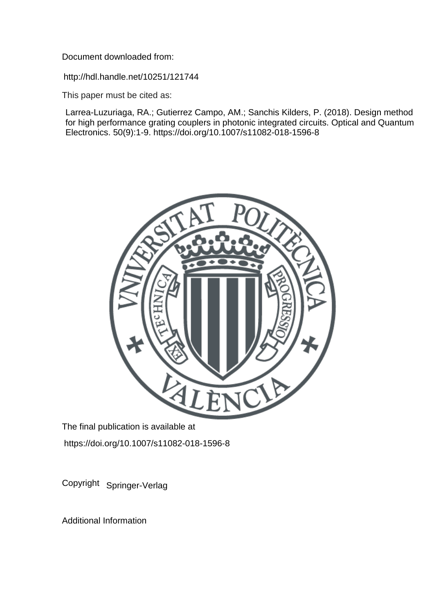Document downloaded from:

http://hdl.handle.net/10251/121744

This paper must be cited as:

Larrea-Luzuriaga, RA.; Gutierrez Campo, AM.; Sanchis Kilders, P. (2018). Design method for high performance grating couplers in photonic integrated circuits. Optical and Quantum Electronics. 50(9):1-9. https://doi.org/10.1007/s11082-018-1596-8



The final publication is available at https://doi.org/10.1007/s11082-018-1596-8

Copyright Springer-Verlag

Additional Information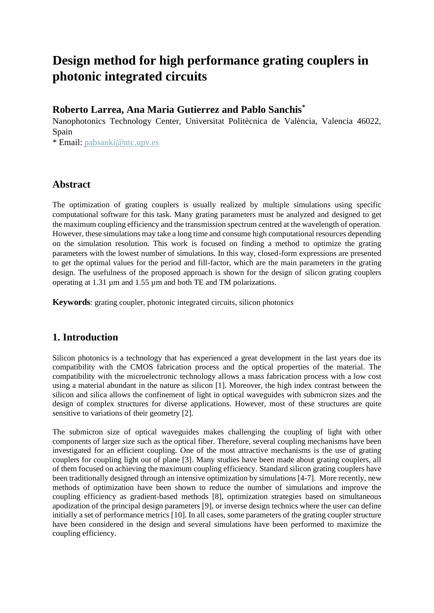# **Design method for high performance grating couplers in photonic integrated circuits**

## **Roberto Larrea, Ana Maria Gutierrez and Pablo Sanchis\***

Nanophotonics Technology Center, Universitat Politècnica de València, Valencia 46022, Spain

\* Email: [pabsanki@ntc.upv.es](mailto:pabsanki@ntc.upv.es)

## **Abstract**

The optimization of grating couplers is usually realized by multiple simulations using specific computational software for this task. Many grating parameters must be analyzed and designed to get the maximum coupling efficiency and the transmission spectrum centred at the wavelength of operation. However, these simulations may take a long time and consume high computational resources depending on the simulation resolution. This work is focused on finding a method to optimize the grating parameters with the lowest number of simulations. In this way, closed-form expressions are presented to get the optimal values for the period and fill-factor, which are the main parameters in the grating design. The usefulness of the proposed approach is shown for the design of silicon grating couplers operating at 1.31 µm and 1.55 µm and both TE and TM polarizations.

**Keywords**: grating coupler, photonic integrated circuits, silicon photonics

# **1. Introduction**

Silicon photonics is a technology that has experienced a great development in the last years due its compatibility with the CMOS fabrication process and the optical properties of the material. The compatibility with the microelectronic technology allows a mass fabrication process with a low cost using a material abundant in the nature as silicon [1]. Moreover, the high index contrast between the silicon and silica allows the confinement of light in optical waveguides with submicron sizes and the design of complex structures for diverse applications. However, most of these structures are quite sensitive to variations of their geometry [2].

The submicron size of optical waveguides makes challenging the coupling of light with other components of larger size such as the optical fiber. Therefore, several coupling mechanisms have been investigated for an efficient coupling. One of the most attractive mechanisms is the use of grating couplers for coupling light out of plane [3]. Many studies have been made about grating couplers, all of them focused on achieving the maximum coupling efficiency. Standard silicon grating couplers have been traditionally designed through an intensive optimization by simulations [4-7]. More recently, new methods of optimization have been shown to reduce the number of simulations and improve the coupling efficiency as gradient-based methods [8], optimization strategies based on simultaneous apodization of the principal design parameters [9], or inverse design technics where the user can define initially a set of performance metrics [10]. In all cases, some parameters of the grating coupler structure have been considered in the design and several simulations have been performed to maximize the coupling efficiency.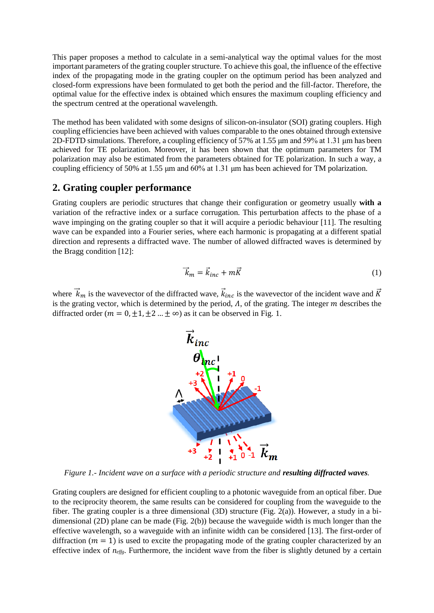This paper proposes a method to calculate in a semi-analytical way the optimal values for the most important parameters of the grating coupler structure. To achieve this goal, the influence of the effective index of the propagating mode in the grating coupler on the optimum period has been analyzed and closed-form expressions have been formulated to get both the period and the fill-factor. Therefore, the optimal value for the effective index is obtained which ensures the maximum coupling efficiency and the spectrum centred at the operational wavelength.

The method has been validated with some designs of silicon-on-insulator (SOI) grating couplers. High coupling efficiencies have been achieved with values comparable to the ones obtained through extensive 2D-FDTD simulations. Therefore, a coupling efficiency of 57% at 1.55 μm and 59% at 1.31 μm has been achieved for TE polarization. Moreover, it has been shown that the optimum parameters for TM polarization may also be estimated from the parameters obtained for TE polarization. In such a way, a coupling efficiency of 50% at 1.55 μm and 60% at 1.31 μm has been achieved for TM polarization.

## **2. Grating coupler performance**

Grating couplers are periodic structures that change their configuration or geometry usually **with a**  variation of the refractive index or a surface corrugation. This perturbation affects to the phase of a wave impinging on the grating coupler so that it will acquire a periodic behaviour [11]. The resulting wave can be expanded into a Fourier series, where each harmonic is propagating at a different spatial direction and represents a diffracted wave. The number of allowed diffracted waves is determined by the Bragg condition [12]:

$$
\vec{k}_m = \vec{k}_{inc} + m\vec{K}
$$
 (1)

where  $\vec{k}_m$  is the wavevector of the diffracted wave,  $\vec{k}_{inc}$  is the wavevector of the incident wave and  $\vec{K}$ is the grating vector, which is determined by the period,  $\Lambda$ , of the grating. The integer  $m$  describes the diffracted order ( $m = 0, \pm 1, \pm 2, \ldots, \pm \infty$ ) as it can be observed in Fig. 1.



*Figure 1.- Incident wave on a surface with a periodic structure and resulting diffracted waves.*

Grating couplers are designed for efficient coupling to a photonic waveguide from an optical fiber. Due to the reciprocity theorem, the same results can be considered for coupling from the waveguide to the fiber. The grating coupler is a three dimensional (3D) structure (Fig. 2(a)). However, a study in a bidimensional (2D) plane can be made (Fig. 2(b)) because the waveguide width is much longer than the effective wavelength, so a waveguide with an infinite width can be considered [13]. The first-order of diffraction ( $m = 1$ ) is used to excite the propagating mode of the grating coupler characterized by an effective index of *neffg*. Furthermore, the incident wave from the fiber is slightly detuned by a certain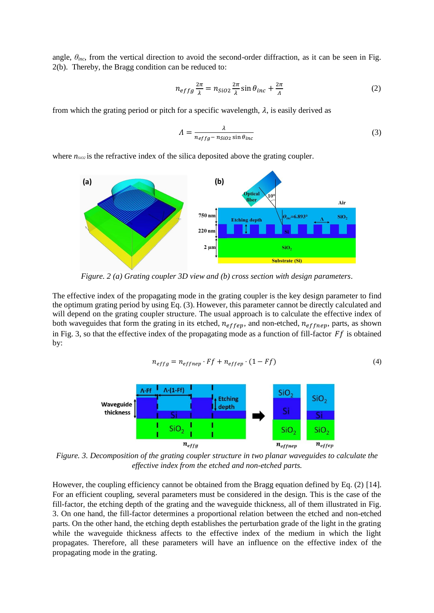angle,  $\theta_{inc}$ , from the vertical direction to avoid the second-order diffraction, as it can be seen in Fig. 2(b). Thereby, the Bragg condition can be reduced to:

$$
n_{effg}\frac{2\pi}{\lambda} = n_{SiO2}\frac{2\pi}{\lambda}\sin\theta_{inc} + \frac{2\pi}{\Lambda}
$$
 (2)

from which the grating period or pitch for a specific wavelength,  $\lambda$ , is easily derived as

$$
\Lambda = \frac{\lambda}{n_{effg} - n_{SiO2} \sin \theta_{inc}}\tag{3}
$$

where  $n_{sio2}$  is the refractive index of the silica deposited above the grating coupler.



*Figure. 2 (a) Grating coupler 3D view and (b) cross section with design parameters.*

The effective index of the propagating mode in the grating coupler is the key design parameter to find the optimum grating period by using Eq. (3). However, this parameter cannot be directly calculated and will depend on the grating coupler structure. The usual approach is to calculate the effective index of both waveguides that form the grating in its etched,  $n_{effep}$ , and non-etched,  $n_{eff nep}$ , parts, as shown in Fig. 3, so that the effective index of the propagating mode as a function of fill-factor  $Ff$  is obtained by:

$$
n_{effg} = n_{effnep} \cdot Ff + n_{effep} \cdot (1 - Ff) \tag{4}
$$



*Figure. 3. Decomposition of the grating coupler structure in two planar waveguides to calculate the effective index from the etched and non-etched parts.*

However, the coupling efficiency cannot be obtained from the Bragg equation defined by Eq. (2) [14]. For an efficient coupling, several parameters must be considered in the design. This is the case of the fill-factor, the etching depth of the grating and the waveguide thickness, all of them illustrated in Fig. 3. On one hand, the fill-factor determines a proportional relation between the etched and non-etched parts. On the other hand, the etching depth establishes the perturbation grade of the light in the grating while the waveguide thickness affects to the effective index of the medium in which the light propagates. Therefore, all these parameters will have an influence on the effective index of the propagating mode in the grating.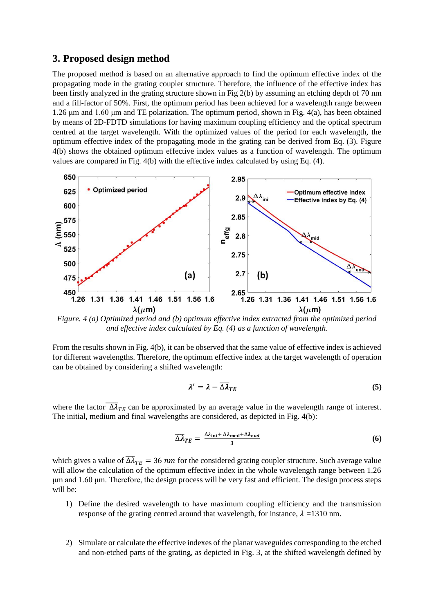## **3. Proposed design method**

The proposed method is based on an alternative approach to find the optimum effective index of the propagating mode in the grating coupler structure. Therefore, the influence of the effective index has been firstly analyzed in the grating structure shown in Fig 2(b) by assuming an etching depth of 70 nm and a fill-factor of 50%. First, the optimum period has been achieved for a wavelength range between 1.26 μm and 1.60 μm and TE polarization. The optimum period, shown in Fig. 4(a), has been obtained by means of 2D-FDTD simulations for having maximum coupling efficiency and the optical spectrum centred at the target wavelength. With the optimized values of the period for each wavelength, the optimum effective index of the propagating mode in the grating can be derived from Eq. (3). Figure 4(b) shows the obtained optimum effective index values as a function of wavelength. The optimum values are compared in Fig. 4(b) with the effective index calculated by using Eq. (4).



*Figure. 4 (a) Optimized period and (b) optimum effective index extracted from the optimized period and effective index calculated by Eq. (4) as a function of wavelength.*

From the results shown in Fig. 4(b), it can be observed that the same value of effective index is achieved for different wavelengths. Therefore, the optimum effective index at the target wavelength of operation can be obtained by considering a shifted wavelength:

$$
\lambda' = \lambda - \overline{\Delta \lambda}_{TE} \tag{5}
$$

where the factor  $\overline{\Delta \lambda}_{TE}$  can be approximated by an average value in the wavelength range of interest. The initial, medium and final wavelengths are considered, as depicted in Fig. 4(b):

$$
\overline{\Delta \lambda}_{TE} = \frac{\Delta \lambda_{\text{ini}} + \Delta \lambda_{\text{med}} + \Delta \lambda_{end}}{3}
$$
 (6)

which gives a value of  $\overline{\Delta \lambda}_{TE} = 36$  nm for the considered grating coupler structure. Such average value will allow the calculation of the optimum effective index in the whole wavelength range between 1.26 μm and 1.60 μm. Therefore, the design process will be very fast and efficient. The design process steps will be:

- 1) Define the desired wavelength to have maximum coupling efficiency and the transmission response of the grating centred around that wavelength, for instance,  $\lambda = 1310$  nm.
- 2) Simulate or calculate the effective indexes of the planar waveguides corresponding to the etched and non-etched parts of the grating, as depicted in Fig. 3, at the shifted wavelength defined by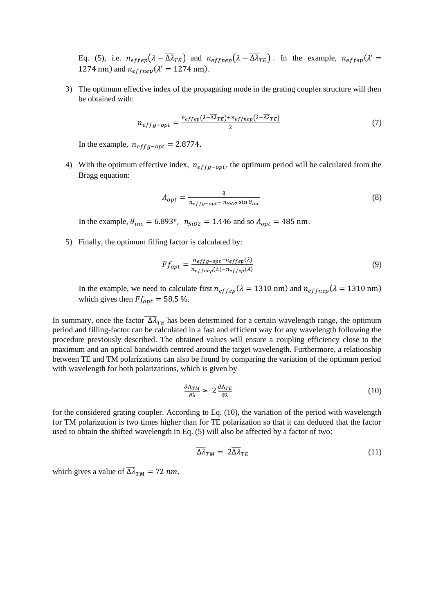Eq. (5), i.e.  $n_{effep}(\lambda - \overline{\Delta \lambda}_{TE})$  and  $n_{effnep}(\lambda - \overline{\Delta \lambda}_{TE})$ . In the example,  $n_{effep}(\lambda' =$ 1274 nm) and  $n_{effnep}(\lambda' = 1274 \text{ nm}).$ 

3) The optimum effective index of the propagating mode in the grating coupler structure will then be obtained with:

$$
n_{effg-opt} = \frac{n_{effep}(\lambda - \overline{\lambda}\overline{\lambda}_{TE}) + n_{effnep}(\lambda - \overline{\lambda}\overline{\lambda}_{TE})}{2}
$$
(7)

In the example,  $n_{effq-opt} = 2.8774$ .

4) With the optimum effective index,  $n_{effg-opt}$ , the optimum period will be calculated from the Bragg equation:

$$
\Lambda_{opt} = \frac{\lambda}{n_{effg-opt} - n_{SiO2} \sin \theta_{inc}}
$$
\n(8)

In the example,  $\theta_{inc} = 6.893^{\circ}$ ,  $n_{SiO2} = 1.446$  and so  $\Lambda_{opt} = 485$  nm.

5) Finally, the optimum filling factor is calculated by:

$$
F f_{opt} = \frac{n_{effg-opt} - n_{effep}(\lambda)}{n_{effnep}(\lambda) - n_{effep}(\lambda)}
$$
(9)

In the example, we need to calculate first  $n_{effep}(\lambda = 1310 \text{ nm})$  and  $n_{eff nep}(\lambda = 1310 \text{ nm})$ which gives then  $Ff_{\text{opt}} = 58.5\%$ .

In summary, once the factor  $\overline{\Delta \lambda}_{TE}$  has been determined for a certain wavelength range, the optimum period and filling-factor can be calculated in a fast and efficient way for any wavelength following the procedure previously described. The obtained values will ensure a coupling efficiency close to the maximum and an optical bandwidth centred around the target wavelength. Furthermore, a relationship between TE and TM polarizations can also be found by comparing the variation of the optimum period with wavelength for both polarizations, which is given by

$$
\frac{\partial \Lambda_{TM}}{\partial \lambda} \approx 2 \frac{\partial \Lambda_{TE}}{\partial \lambda} \tag{10}
$$

for the considered grating coupler. According to Eq. (10), the variation of the period with wavelength for TM polarization is two times higher than for TE polarization so that it can deduced that the factor used to obtain the shifted wavelength in Eq. (5) will also be affected by a factor of two:

$$
\overline{\Delta \lambda}_{TM} = 2\overline{\Delta \lambda}_{TE} \tag{11}
$$

which gives a value of  $\overline{\Delta \lambda}_{TM} = 72$  nm.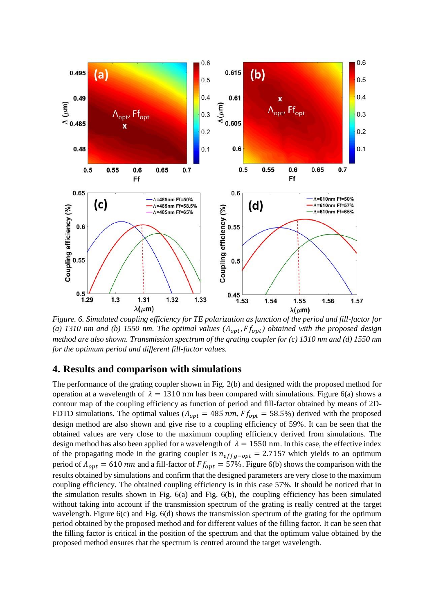

*Figure. 6. Simulated coupling efficiency for TE polarization as function of the period and fill-factor for*  (a) 1310 *nm and (b) 1550 nm. The optimal values*  $(A_{opt}, F_{opt})$  *obtained with the proposed design method are also shown. Transmission spectrum of the grating coupler for (c) 1310 nm and (d) 1550 nm for the optimum period and different fill-factor values.*

#### **4. Results and comparison with simulations**

The performance of the grating coupler shown in Fig. 2(b) and designed with the proposed method for operation at a wavelength of  $\lambda = 1310$  nm has been compared with simulations. Figure 6(a) shows a contour map of the coupling efficiency as function of period and fill-factor obtained by means of 2D-FDTD simulations. The optimal values ( $A_{opt} = 485$  nm,  $F_{opt} = 58.5\%$ ) derived with the proposed design method are also shown and give rise to a coupling efficiency of 59%. It can be seen that the obtained values are very close to the maximum coupling efficiency derived from simulations. The design method has also been applied for a wavelength of  $\lambda = 1550$  nm. In this case, the effective index of the propagating mode in the grating coupler is  $n_{effg-opt} = 2.7157$  which yields to an optimum period of  $A_{opt} = 610$  nm and a fill-factor of  $Ff_{opt} = 57$ %. Figure 6(b) shows the comparison with the results obtained by simulations and confirm that the designed parameters are very close to the maximum coupling efficiency. The obtained coupling efficiency is in this case 57%. It should be noticed that in the simulation results shown in Fig. 6(a) and Fig. 6(b), the coupling efficiency has been simulated without taking into account if the transmission spectrum of the grating is really centred at the target wavelength. Figure  $6(c)$  and Fig.  $6(d)$  shows the transmission spectrum of the grating for the optimum period obtained by the proposed method and for different values of the filling factor. It can be seen that the filling factor is critical in the position of the spectrum and that the optimum value obtained by the proposed method ensures that the spectrum is centred around the target wavelength.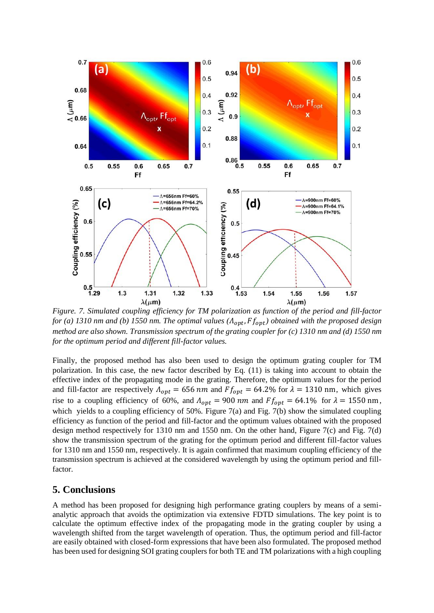

*Figure. 7. Simulated coupling efficiency for TM polarization as function of the period and fill-factor for (a) 1310 nm and (b) 1550 nm. The optimal values (* $\Lambda_{opt}$ *,*  $F_{opt}$ *) obtained with the proposed design method are also shown. Transmission spectrum of the grating coupler for (c) 1310 nm and (d) 1550 nm for the optimum period and different fill-factor values.*

Finally, the proposed method has also been used to design the optimum grating coupler for TM polarization. In this case, the new factor described by Eq. (11) is taking into account to obtain the effective index of the propagating mode in the grating. Therefore, the optimum values for the period and fill-factor are respectively  $\Lambda_{opt} = 656$  nm and  $F_{opt} = 64.2\%$  for  $\lambda = 1310$  nm, which gives rise to a coupling efficiency of 60%, and  $\Lambda_{opt} = 900$  nm and  $F f_{opt} = 64.1$ % for  $\lambda = 1550$  nm, which yields to a coupling efficiency of 50%. Figure 7(a) and Fig. 7(b) show the simulated coupling efficiency as function of the period and fill-factor and the optimum values obtained with the proposed design method respectively for 1310 nm and 1550 nm. On the other hand, Figure 7(c) and Fig. 7(d) show the transmission spectrum of the grating for the optimum period and different fill-factor values for 1310 nm and 1550 nm, respectively. It is again confirmed that maximum coupling efficiency of the transmission spectrum is achieved at the considered wavelength by using the optimum period and fillfactor.

## **5. Conclusions**

A method has been proposed for designing high performance grating couplers by means of a semianalytic approach that avoids the optimization via extensive FDTD simulations. The key point is to calculate the optimum effective index of the propagating mode in the grating coupler by using a wavelength shifted from the target wavelength of operation. Thus, the optimum period and fill-factor are easily obtained with closed-form expressions that have been also formulated. The proposed method has been used for designing SOI grating couplers for both TE and TM polarizations with a high coupling